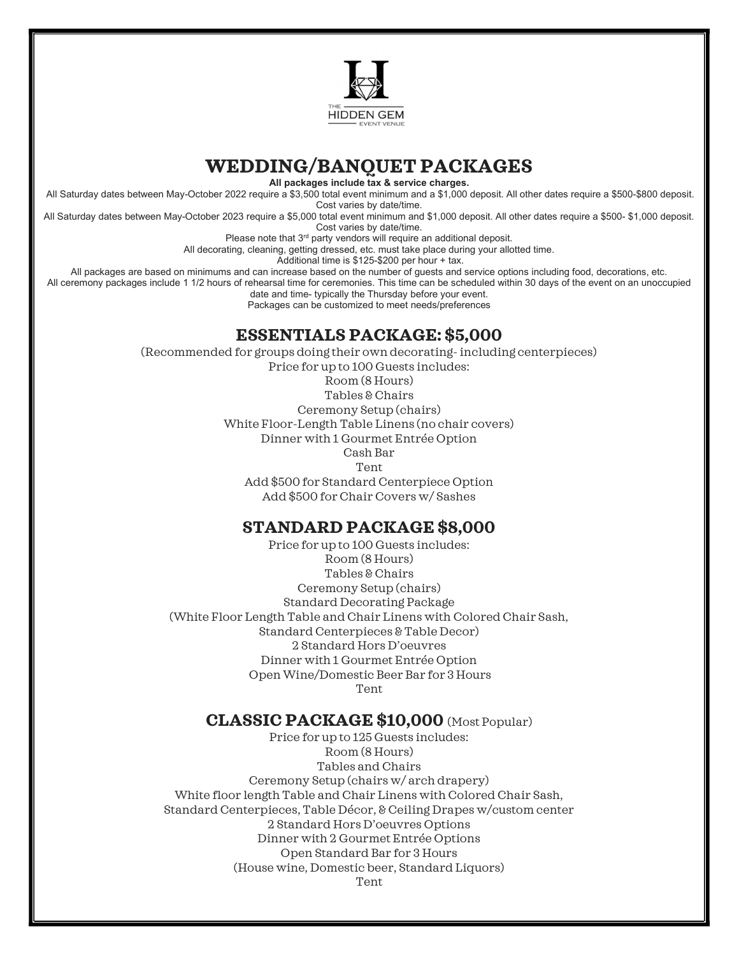

# WEDDING/BANQUET PACKAGES

All packages include tax & service charges.

 All Saturday dates between May-October 2022 require a \$3,500 total event minimum and a \$1,000 deposit. All other dates require a \$500-\$800 deposit. Cost varies by date/time.

All Saturday dates between May-October 2023 require a \$5,000 total event minimum and \$1,000 deposit. All other dates require a \$500- \$1,000 deposit. Cost varies by date/time.

Please note that  $3<sup>rd</sup>$  party vendors will require an additional deposit.

All decorating, cleaning, getting dressed, etc. must take place during your allotted time.

Additional time is \$125-\$200 per hour + tax.

All packages are based on minimums and can increase based on the number of guests and service options including food, decorations, etc.

All ceremony packages include 1 1/2 hours of rehearsal time for ceremonies. This time can be scheduled within 30 days of the event on an unoccupied date and time- typically the Thursday before your event.

Packages can be customized to meet needs/preferences

#### ESSENTIALS PACKAGE: \$5,000

(Recommended for groups doing their own decorating- including centerpieces) Price for up to 100 Guests includes:

Room (8 Hours)

Tables & Chairs Ceremony Setup (chairs) White Floor-Length Table Linens (no chair covers) Dinner with 1 Gourmet Entrée Option Cash Bar Tent

Add \$500 for Standard Centerpiece Option Add \$500 for Chair Covers w/ Sashes

## STANDARD PACKAGE \$8,000

Price for up to 100 Guests includes: Room (8 Hours) Tables & Chairs Ceremony Setup (chairs) Standard Decorating Package (White Floor Length Table and Chair Linens with Colored Chair Sash, Standard Centerpieces & Table Decor) 2 Standard Hors D'oeuvres Dinner with 1 Gourmet Entrée Option Open Wine/Domestic Beer Bar for 3 Hours Tent

## CLASSIC PACKAGE \$10,000 (Most Popular)

Price for up to 125 Guests includes: Room (8 Hours) Tables and Chairs Ceremony Setup (chairs w/ arch drapery) White floor length Table and Chair Linens with Colored Chair Sash, Standard Centerpieces, Table Décor, & Ceiling Drapes w/custom center 2 Standard Hors D'oeuvres Options Dinner with 2 Gourmet Entrée Options Open Standard Bar for 3 Hours (House wine, Domestic beer, Standard Liquors) Tent